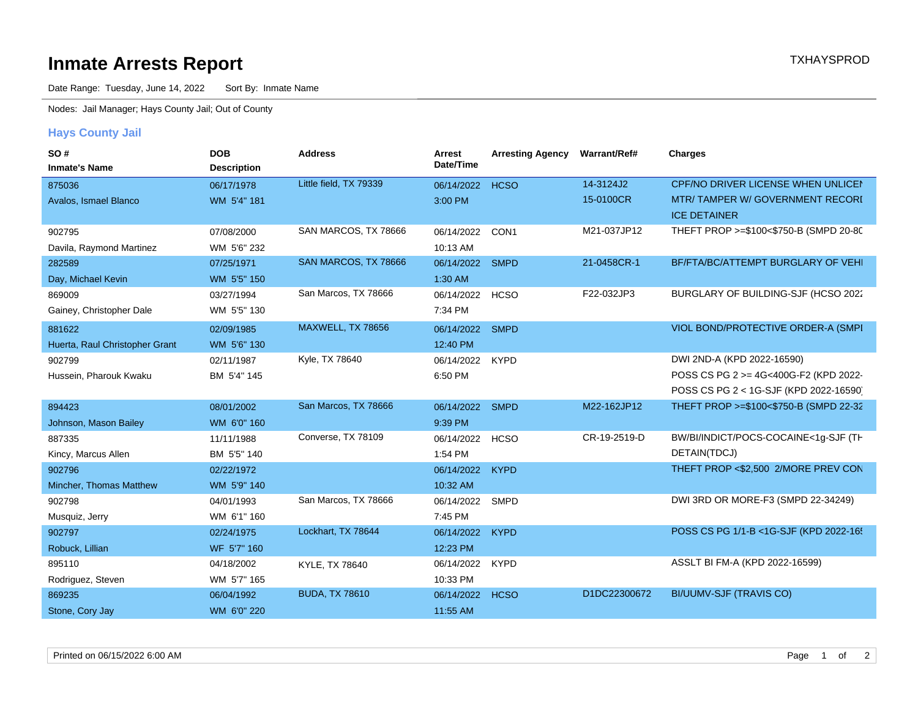## **Inmate Arrests Report TXHAYSPROD Inmate Arrests Report**

Date Range: Tuesday, June 14, 2022 Sort By: Inmate Name

Nodes: Jail Manager; Hays County Jail; Out of County

## **Hays County Jail**

| <b>SO#</b>                     | <b>DOB</b>         | <b>Address</b>         | Arrest          | <b>Arresting Agency</b> | <b>Warrant/Ref#</b> | <b>Charges</b>                          |
|--------------------------------|--------------------|------------------------|-----------------|-------------------------|---------------------|-----------------------------------------|
| <b>Inmate's Name</b>           | <b>Description</b> |                        | Date/Time       |                         |                     |                                         |
| 875036                         | 06/17/1978         | Little field, TX 79339 | 06/14/2022      | <b>HCSO</b>             | 14-3124J2           | CPF/NO DRIVER LICENSE WHEN UNLICEN      |
| Avalos, Ismael Blanco          | WM 5'4" 181        |                        | 3:00 PM         |                         | 15-0100CR           | MTR/TAMPER W/GOVERNMENT RECORI          |
|                                |                    |                        |                 |                         |                     | <b>ICE DETAINER</b>                     |
| 902795                         | 07/08/2000         | SAN MARCOS, TX 78666   | 06/14/2022      | CON1                    | M21-037JP12         | THEFT PROP >=\$100<\$750-B (SMPD 20-80  |
| Davila, Raymond Martinez       | WM 5'6" 232        |                        | 10:13 AM        |                         |                     |                                         |
| 282589                         | 07/25/1971         | SAN MARCOS, TX 78666   | 06/14/2022      | <b>SMPD</b>             | 21-0458CR-1         | BF/FTA/BC/ATTEMPT BURGLARY OF VEHI      |
| Day, Michael Kevin             | WM 5'5" 150        |                        | 1:30 AM         |                         |                     |                                         |
| 869009                         | 03/27/1994         | San Marcos, TX 78666   | 06/14/2022      | <b>HCSO</b>             | F22-032JP3          | BURGLARY OF BUILDING-SJF (HCSO 2022     |
| Gainey, Christopher Dale       | WM 5'5" 130        |                        | 7:34 PM         |                         |                     |                                         |
| 881622                         | 02/09/1985         | MAXWELL, TX 78656      | 06/14/2022      | <b>SMPD</b>             |                     | VIOL BOND/PROTECTIVE ORDER-A (SMPI      |
| Huerta, Raul Christopher Grant | WM 5'6" 130        |                        | 12:40 PM        |                         |                     |                                         |
| 902799                         | 02/11/1987         | Kyle, TX 78640         | 06/14/2022      | <b>KYPD</b>             |                     | DWI 2ND-A (KPD 2022-16590)              |
| Hussein, Pharouk Kwaku         | BM 5'4" 145        |                        | 6:50 PM         |                         |                     | POSS CS PG 2 >= 4G<400G-F2 (KPD 2022-   |
|                                |                    |                        |                 |                         |                     | POSS CS PG 2 < 1G-SJF (KPD 2022-16590)  |
| 894423                         | 08/01/2002         | San Marcos, TX 78666   | 06/14/2022 SMPD |                         | M22-162JP12         | THEFT PROP >=\$100<\$750-B (SMPD 22-32  |
| Johnson, Mason Bailey          | WM 6'0" 160        |                        | 9:39 PM         |                         |                     |                                         |
| 887335                         | 11/11/1988         | Converse, TX 78109     | 06/14/2022      | <b>HCSO</b>             | CR-19-2519-D        | BW/BI/INDICT/POCS-COCAINE<1g-SJF (TH    |
| Kincy, Marcus Allen            | BM 5'5" 140        |                        | 1:54 PM         |                         |                     | DETAIN(TDCJ)                            |
| 902796                         | 02/22/1972         |                        | 06/14/2022      | <b>KYPD</b>             |                     | THEFT PROP <\$2,500 2/MORE PREV CON     |
| Mincher, Thomas Matthew        | WM 5'9" 140        |                        | 10:32 AM        |                         |                     |                                         |
| 902798                         | 04/01/1993         | San Marcos, TX 78666   | 06/14/2022      | <b>SMPD</b>             |                     | DWI 3RD OR MORE-F3 (SMPD 22-34249)      |
| Musquiz, Jerry                 | WM 6'1" 160        |                        | 7:45 PM         |                         |                     |                                         |
| 902797                         | 02/24/1975         | Lockhart, TX 78644     | 06/14/2022      | <b>KYPD</b>             |                     | POSS CS PG 1/1-B <1G-SJF (KPD 2022-165) |
| Robuck, Lillian                | WF 5'7" 160        |                        | 12:23 PM        |                         |                     |                                         |
| 895110                         | 04/18/2002         | KYLE, TX 78640         | 06/14/2022      | <b>KYPD</b>             |                     | ASSLT BI FM-A (KPD 2022-16599)          |
| Rodriguez, Steven              | WM 5'7" 165        |                        | 10:33 PM        |                         |                     |                                         |
| 869235                         | 06/04/1992         | <b>BUDA, TX 78610</b>  | 06/14/2022      | <b>HCSO</b>             | D1DC22300672        | BI/UUMV-SJF (TRAVIS CO)                 |
| Stone, Cory Jay                | WM 6'0" 220        |                        | 11:55 AM        |                         |                     |                                         |